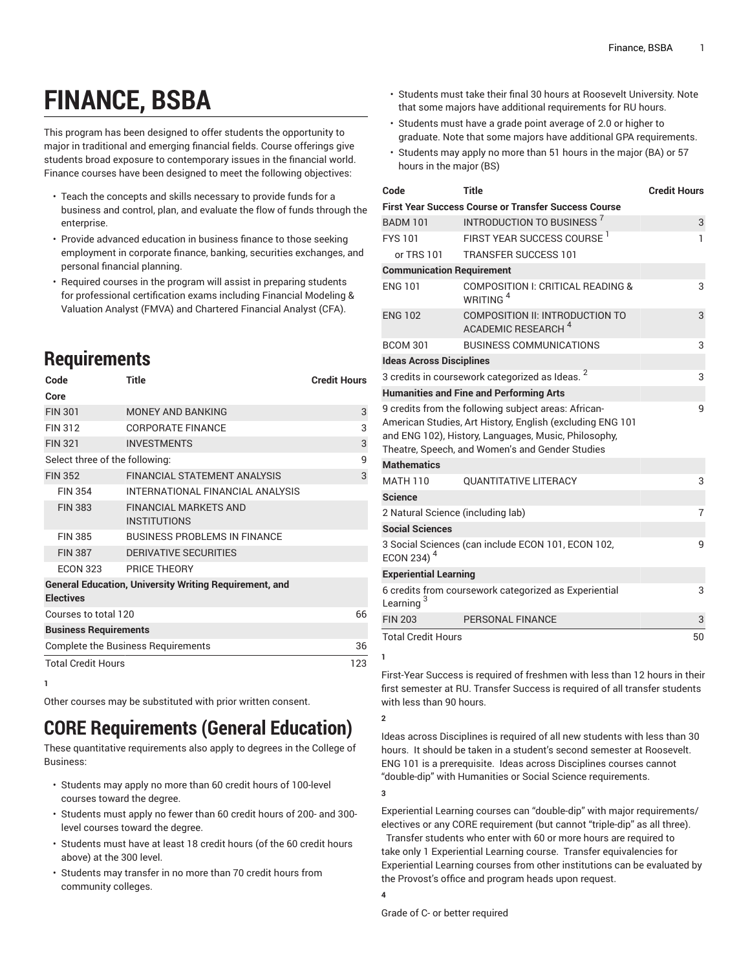# **FINANCE, BSBA**

This program has been designed to offer students the opportunity to major in traditional and emerging financial fields. Course offerings give students broad exposure to contemporary issues in the financial world. Finance courses have been designed to meet the following objectives:

- Teach the concepts and skills necessary to provide funds for a business and control, plan, and evaluate the flow of funds through the enterprise.
- Provide advanced education in business finance to those seeking employment in corporate finance, banking, securities exchanges, and personal financial planning.
- Required courses in the program will assist in preparing students for professional certification exams including Financial Modeling & Valuation Analyst (FMVA) and Chartered Financial Analyst (CFA).

### **Requirements**

| Code                               | <b>Title</b>                                                  | <b>Credit Hours</b> |  |
|------------------------------------|---------------------------------------------------------------|---------------------|--|
| Core                               |                                                               |                     |  |
| <b>FIN 301</b>                     | <b>MONEY AND BANKING</b>                                      | 3                   |  |
| <b>FIN 312</b>                     | <b>CORPORATE FINANCE</b>                                      | 3                   |  |
| <b>FIN 321</b>                     | <b>INVESTMENTS</b>                                            | 3                   |  |
| Select three of the following:     |                                                               | 9                   |  |
| <b>FIN 352</b>                     | <b>FINANCIAL STATEMENT ANALYSIS</b>                           | 3                   |  |
| <b>FIN 354</b>                     | INTERNATIONAL FINANCIAL ANALYSIS                              |                     |  |
| <b>FIN 383</b>                     | <b>FINANCIAL MARKETS AND</b><br><b>INSTITUTIONS</b>           |                     |  |
| <b>FIN 385</b>                     | <b>BUSINESS PROBLEMS IN FINANCE</b>                           |                     |  |
| <b>FIN 387</b>                     | <b>DERIVATIVE SECURITIES</b>                                  |                     |  |
| <b>FCON 323</b>                    | PRICE THEORY                                                  |                     |  |
| <b>Electives</b>                   | <b>General Education, University Writing Requirement, and</b> |                     |  |
| Courses to total 120               | 66                                                            |                     |  |
| <b>Business Requirements</b>       |                                                               |                     |  |
| Complete the Business Requirements | 36                                                            |                     |  |
| <b>Total Credit Hours</b>          |                                                               | 123                 |  |

**1**

Other courses may be substituted with prior written consent.

### **CORE Requirements (General Education)**

These quantitative requirements also apply to degrees in the College of Business:

- Students may apply no more than 60 credit hours of 100-level courses toward the degree.
- Students must apply no fewer than 60 credit hours of 200- and 300 level courses toward the degree.
- Students must have at least 18 credit hours (of the 60 credit hours above) at the 300 level.
- Students may transfer in no more than 70 credit hours from community colleges.
- Students must take their final 30 hours at Roosevelt University. Note that some majors have additional requirements for RU hours.
- Students must have a grade point average of 2.0 or higher to graduate. Note that some majors have additional GPA requirements.
- Students may apply no more than 51 hours in the major (BA) or 57 hours in the major (BS)

| Code                                                                                                                                                                                                                         | <b>Title</b>                                                             | <b>Credit Hours</b> |  |  |
|------------------------------------------------------------------------------------------------------------------------------------------------------------------------------------------------------------------------------|--------------------------------------------------------------------------|---------------------|--|--|
|                                                                                                                                                                                                                              | <b>First Year Success Course or Transfer Success Course</b>              |                     |  |  |
| <b>BADM 101</b>                                                                                                                                                                                                              | <b>INTRODUCTION TO BUSINESS<sup>7</sup></b>                              | 3                   |  |  |
| <b>FYS101</b>                                                                                                                                                                                                                | FIRST YEAR SUCCESS COURSE <sup>1</sup>                                   | 1                   |  |  |
| or TRS 101                                                                                                                                                                                                                   | <b>TRANSFER SUCCESS 101</b>                                              |                     |  |  |
| <b>Communication Requirement</b>                                                                                                                                                                                             |                                                                          |                     |  |  |
| <b>ENG 101</b>                                                                                                                                                                                                               | <b>COMPOSITION I: CRITICAL READING &amp;</b><br>WRITING <sup>4</sup>     | 3                   |  |  |
| <b>ENG 102</b>                                                                                                                                                                                                               | <b>COMPOSITION II: INTRODUCTION TO</b><br>ACADEMIC RESEARCH <sup>4</sup> | 3                   |  |  |
| <b>BCOM 301</b>                                                                                                                                                                                                              | <b>BUSINESS COMMUNICATIONS</b>                                           | 3                   |  |  |
| <b>Ideas Across Disciplines</b>                                                                                                                                                                                              |                                                                          |                     |  |  |
|                                                                                                                                                                                                                              | 3 credits in coursework categorized as Ideas. <sup>2</sup>               | 3                   |  |  |
|                                                                                                                                                                                                                              | <b>Humanities and Fine and Performing Arts</b>                           |                     |  |  |
| 9 credits from the following subject areas: African-<br>American Studies, Art History, English (excluding ENG 101<br>and ENG 102), History, Languages, Music, Philosophy,<br>Theatre, Speech, and Women's and Gender Studies | 9                                                                        |                     |  |  |
| <b>Mathematics</b>                                                                                                                                                                                                           |                                                                          |                     |  |  |
| <b>MATH 110</b>                                                                                                                                                                                                              | <b>QUANTITATIVE LITERACY</b>                                             | 3                   |  |  |
| <b>Science</b>                                                                                                                                                                                                               |                                                                          |                     |  |  |
| 2 Natural Science (including lab)                                                                                                                                                                                            |                                                                          | $\overline{7}$      |  |  |
| <b>Social Sciences</b>                                                                                                                                                                                                       |                                                                          |                     |  |  |
| ECON 234) <sup>4</sup>                                                                                                                                                                                                       | 3 Social Sciences (can include ECON 101, ECON 102,                       | 9                   |  |  |
| <b>Experiential Learning</b>                                                                                                                                                                                                 |                                                                          |                     |  |  |
| Learning <sup>3</sup>                                                                                                                                                                                                        | 6 credits from coursework categorized as Experiential                    | 3                   |  |  |
| <b>FIN 203</b>                                                                                                                                                                                                               | <b>PERSONAL FINANCE</b>                                                  | 3                   |  |  |
| <b>Total Credit Hours</b>                                                                                                                                                                                                    |                                                                          | 50                  |  |  |
| Т.                                                                                                                                                                                                                           |                                                                          |                     |  |  |

First-Year Success is required of freshmen with less than 12 hours in their first semester at RU. Transfer Success is required of all transfer students with less than 90 hours.

Ideas across Disciplines is required of all new students with less than 30 hours. It should be taken in a student's second semester at Roosevelt. ENG 101 is a prerequisite. Ideas across Disciplines courses cannot "double-dip" with Humanities or Social Science requirements.

Experiential Learning courses can "double-dip" with major requirements/ electives or any CORE requirement (but cannot "triple-dip" as all three).

Transfer students who enter with 60 or more hours are required to take only 1 Experiential Learning course. Transfer equivalencies for Experiential Learning courses from other institutions can be evaluated by the Provost's office and program heads upon request.

**4**

**2**

**3**

Grade of C- or better required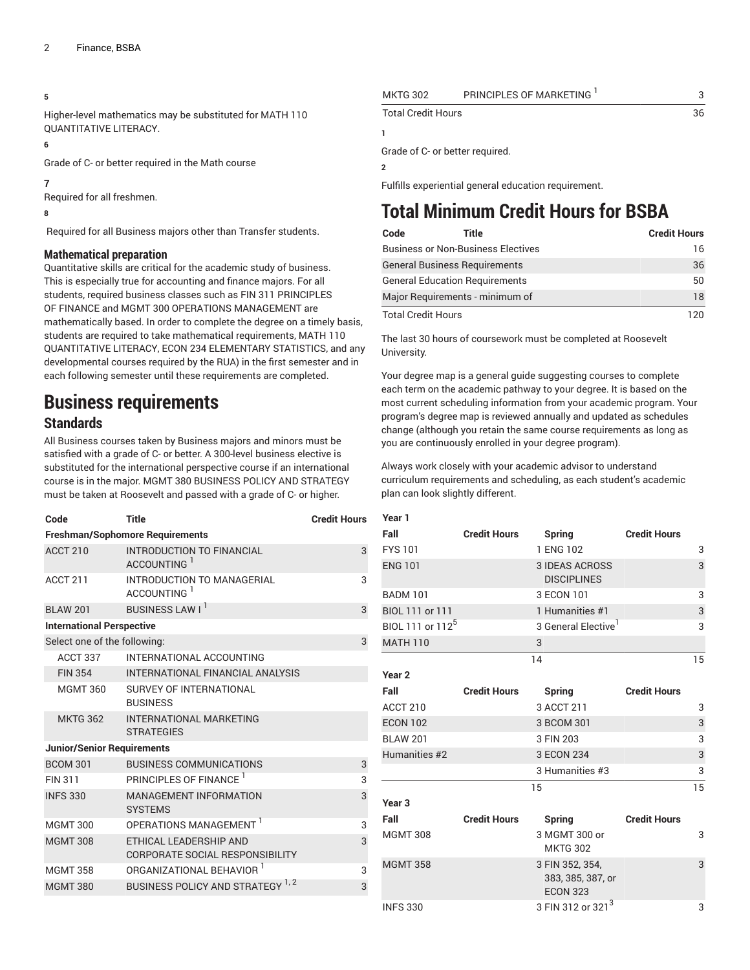#### **5**

Higher-level mathematics may be substituted for MATH 110 QUANTITATIVE LITERACY.

#### **6**

Grade of C- or better required in the Math course

#### **7**

Required for all freshmen.

#### **8**

Required for all Business majors other than Transfer students.

#### **Mathematical preparation**

Quantitative skills are critical for the academic study of business. This is especially true for accounting and finance majors. For all students, required business classes such as FIN 311 PRINCIPLES OF FINANCE and MGMT 300 OPERATIONS MANAGEMENT are mathematically based. In order to complete the degree on a timely basis, students are required to take mathematical requirements, MATH 110 QUANTITATIVE LITERACY, ECON 234 ELEMENTARY STATISTICS, and any developmental courses required by the RUA) in the first semester and in each following semester until these requirements are completed.

## **Business requirements**

### **Standards**

All Business courses taken by Business majors and minors must be satisfied with a grade of C- or better. A 300-level business elective is substituted for the international perspective course if an international course is in the major. MGMT 380 BUSINESS POLICY AND STRATEGY must be taken at Roosevelt and passed with a grade of C- or higher.

| Code                              | <b>Title</b>                                                | <b>Credit Hours</b> |  |  |  |
|-----------------------------------|-------------------------------------------------------------|---------------------|--|--|--|
|                                   | <b>Freshman/Sophomore Requirements</b>                      |                     |  |  |  |
| <b>ACCT 210</b>                   | <b>INTRODUCTION TO FINANCIAL</b><br>ACCOUNTING <sup>1</sup> | 3                   |  |  |  |
| ACCT 211                          | INTRODUCTION TO MANAGERIAL<br>ACCOUNTING <sup>1</sup>       | 3                   |  |  |  |
| <b>BLAW 201</b>                   | BUSINESS LAW I <sup>1</sup>                                 | 3                   |  |  |  |
|                                   | <b>International Perspective</b>                            |                     |  |  |  |
| Select one of the following:      |                                                             | 3                   |  |  |  |
| ACCT 337                          | INTERNATIONAL ACCOUNTING                                    |                     |  |  |  |
| <b>FIN 354</b>                    | INTERNATIONAL FINANCIAL ANALYSIS                            |                     |  |  |  |
| <b>MGMT 360</b>                   | SURVEY OF INTERNATIONAL<br><b>BUSINESS</b>                  |                     |  |  |  |
| <b>MKTG 362</b>                   | <b>INTERNATIONAL MARKETING</b><br><b>STRATEGIES</b>         |                     |  |  |  |
| <b>Junior/Senior Requirements</b> |                                                             |                     |  |  |  |
| <b>BCOM 301</b>                   | <b>BUSINESS COMMUNICATIONS</b>                              | 3                   |  |  |  |
| <b>FIN 311</b>                    | PRINCIPLES OF FINANCE <sup>1</sup>                          | 3                   |  |  |  |
| <b>INFS 330</b>                   | <b>MANAGEMENT INFORMATION</b><br><b>SYSTEMS</b>             | 3                   |  |  |  |
| <b>MGMT 300</b>                   | OPERATIONS MANAGEMENT <sup>1</sup>                          | 3                   |  |  |  |
| <b>MGMT 308</b>                   | ETHICAL LEADERSHIP AND<br>CORPORATE SOCIAL RESPONSIBILITY   | 3                   |  |  |  |
| <b>MGMT 358</b>                   | ORGANIZATIONAL BEHAVIOR 1                                   | 3                   |  |  |  |
| <b>MGMT 380</b>                   | BUSINESS POLICY AND STRATEGY 1,2                            | 3                   |  |  |  |

| MKTG 302                  | PRINCIPLES OF MARKETING <sup>1</sup> |    |
|---------------------------|--------------------------------------|----|
| <b>Total Credit Hours</b> |                                      | 36 |
|                           |                                      |    |
|                           | Grade of C- or better required.      |    |
| $\overline{2}$            |                                      |    |

Fulfills experiential general education requirement.

### **Total Minimum Credit Hours for BSBA**

| Code                      | Title                                     | <b>Credit Hours</b> |
|---------------------------|-------------------------------------------|---------------------|
|                           | <b>Business or Non-Business Electives</b> | 16                  |
|                           | <b>General Business Requirements</b>      | 36                  |
|                           | <b>General Education Requirements</b>     | 50                  |
|                           | Major Requirements - minimum of           | 18                  |
| <b>Total Credit Hours</b> |                                           | 120                 |

The last 30 hours of coursework must be completed at Roosevelt University.

Your degree map is a general guide suggesting courses to complete each term on the academic pathway to your degree. It is based on the most current scheduling information from your academic program. Your program's degree map is reviewed annually and updated as schedules change (although you retain the same course requirements as long as you are continuously enrolled in your degree program).

Always work closely with your academic advisor to understand curriculum requirements and scheduling, as each student's academic plan can look slightly different.

| Year 1                       |                     |                                                         |                     |    |
|------------------------------|---------------------|---------------------------------------------------------|---------------------|----|
| Fall                         | <b>Credit Hours</b> | <b>Spring</b>                                           | <b>Credit Hours</b> |    |
| <b>FYS101</b>                |                     | 1 ENG 102                                               |                     | 3  |
| <b>ENG 101</b>               |                     | <b>3 IDEAS ACROSS</b><br><b>DISCIPLINES</b>             |                     | 3  |
| <b>BADM 101</b>              |                     | 3 ECON 101                                              |                     | 3  |
| BIOL 111 or 111              |                     | 1 Humanities #1                                         |                     | 3  |
| BIOL 111 or 112 <sup>5</sup> |                     | 3 General Elective <sup>1</sup>                         |                     | 3  |
| <b>MATH 110</b>              |                     | 3                                                       |                     |    |
|                              |                     | 14                                                      |                     | 15 |
| Year <sub>2</sub>            |                     |                                                         |                     |    |
| Fall                         | <b>Credit Hours</b> | <b>Spring</b>                                           | <b>Credit Hours</b> |    |
| ACCT 210                     |                     | 3 ACCT 211                                              |                     | 3  |
| <b>ECON 102</b>              |                     | 3 BCOM 301                                              |                     | 3  |
| <b>BLAW 201</b>              |                     | 3 FIN 203                                               |                     | 3  |
| Humanities #2                |                     | 3 ECON 234                                              |                     | 3  |
|                              |                     | 3 Humanities #3                                         |                     | 3  |
|                              |                     | 15                                                      |                     | 15 |
| Year <sub>3</sub>            |                     |                                                         |                     |    |
| Fall                         | <b>Credit Hours</b> | Spring                                                  | <b>Credit Hours</b> |    |
| <b>MGMT 308</b>              |                     | 3 MGMT 300 or<br><b>MKTG 302</b>                        |                     | 3  |
| <b>MGMT 358</b>              |                     | 3 FIN 352, 354,<br>383, 385, 387, or<br><b>ECON 323</b> |                     | 3  |
| <b>INFS 330</b>              |                     | 3 FIN 312 or 321 <sup>3</sup>                           |                     | 3  |